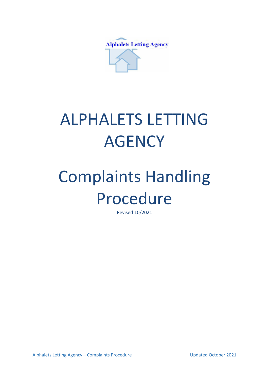

## ALPHALETS LETTING **AGENCY**

## Complaints Handling Procedure

Revised 10/2021

Alphalets Letting Agency – Complaints Procedure Value 100 Updated October 2021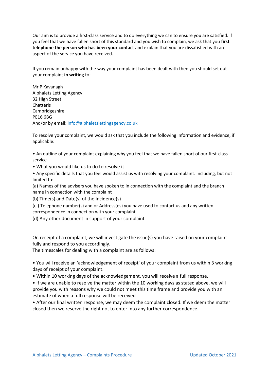Our aim is to provide a first-class service and to do everything we can to ensure you are satisfied. If you feel that we have fallen short of this standard and you wish to complain, we ask that you **first telephone the person who has been your contact** and explain that you are dissatisfied with an aspect of the service you have received.

If you remain unhappy with the way your complaint has been dealt with then you should set out your complaint **in writing** to:

Mr P Kavanagh Alphalets Letting Agency 32 High Street Chatteris Cambridgeshire PE16 6BG And/or by email: info@alphaletslettingagency.co.uk

To resolve your complaint, we would ask that you include the following information and evidence, if applicable:

• An outline of your complaint explaining why you feel that we have fallen short of our first-class service

• What you would like us to do to resolve it

• Any specific details that you feel would assist us with resolving your complaint. Including, but not limited to:

(a) Names of the advisers you have spoken to in connection with the complaint and the branch name in connection with the complaint

(b) Time(s) and Date(s) of the incidence(s)

(c.) Telephone number(s) and or Address(es) you have used to contact us and any written correspondence in connection with your complaint

(d) Any other document in support of your complaint

On receipt of a complaint, we will investigate the issue(s) you have raised on your complaint fully and respond to you accordingly.

The timescales for dealing with a complaint are as follows:

• You will receive an 'acknowledgement of receipt' of your complaint from us within 3 working days of receipt of your complaint.

• Within 10 working days of the acknowledgement, you will receive a full response.

• If we are unable to resolve the matter within the 10 working days as stated above, we will provide you with reasons why we could not meet this time frame and provide you with an estimate of when a full response will be received

• After our final written response, we may deem the complaint closed. If we deem the matter closed then we reserve the right not to enter into any further correspondence.